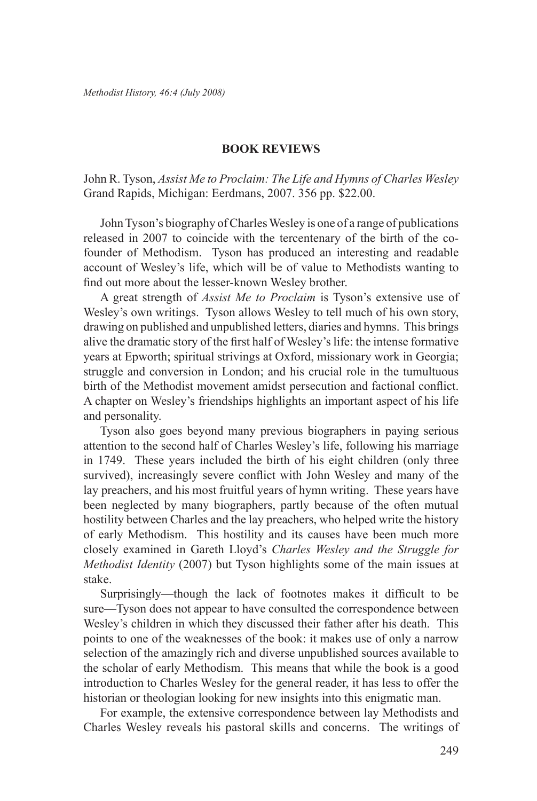## **Book Reviews**

John R. Tyson, *Assist Me to Proclaim: The Life and Hymns of Charles Wesley* Grand Rapids, Michigan: Eerdmans, 2007. 356 pp. \$22.00.

John Tyson's biography of Charles Wesley is one of a range of publications released in 2007 to coincide with the tercentenary of the birth of the cofounder of Methodism. Tyson has produced an interesting and readable account of Wesley's life, which will be of value to Methodists wanting to find out more about the lesser-known Wesley brother.

A great strength of *Assist Me to Proclaim* is Tyson's extensive use of Wesley's own writings. Tyson allows Wesley to tell much of his own story, drawing on published and unpublished letters, diaries and hymns. This brings alive the dramatic story of the first half of Wesley's life: the intense formative years at Epworth; spiritual strivings at Oxford, missionary work in Georgia; struggle and conversion in London; and his crucial role in the tumultuous birth of the Methodist movement amidst persecution and factional conflict. A chapter on Wesley's friendships highlights an important aspect of his life and personality.

Tyson also goes beyond many previous biographers in paying serious attention to the second half of Charles Wesley's life, following his marriage in 1749. These years included the birth of his eight children (only three survived), increasingly severe conflict with John Wesley and many of the lay preachers, and his most fruitful years of hymn writing. These years have been neglected by many biographers, partly because of the often mutual hostility between Charles and the lay preachers, who helped write the history of early Methodism. This hostility and its causes have been much more closely examined in Gareth Lloyd's *Charles Wesley and the Struggle for Methodist Identity* (2007) but Tyson highlights some of the main issues at stake.

Surprisingly—though the lack of footnotes makes it difficult to be sure—Tyson does not appear to have consulted the correspondence between Wesley's children in which they discussed their father after his death. This points to one of the weaknesses of the book: it makes use of only a narrow selection of the amazingly rich and diverse unpublished sources available to the scholar of early Methodism. This means that while the book is a good introduction to Charles Wesley for the general reader, it has less to offer the historian or theologian looking for new insights into this enigmatic man.

For example, the extensive correspondence between lay Methodists and Charles Wesley reveals his pastoral skills and concerns. The writings of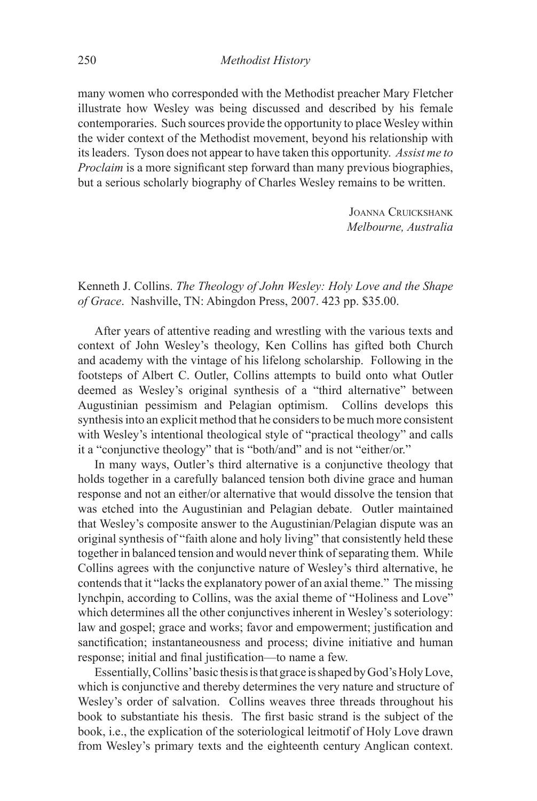many women who corresponded with the Methodist preacher Mary Fletcher illustrate how Wesley was being discussed and described by his female contemporaries. Such sources provide the opportunity to place Wesley within the wider context of the Methodist movement, beyond his relationship with its leaders. Tyson does not appear to have taken this opportunity. *Assist me to Proclaim* is a more significant step forward than many previous biographies, but a serious scholarly biography of Charles Wesley remains to be written.

> JOANNA CRUICKSHANK *Melbourne, Australia*

Kenneth J. Collins. *The Theology of John Wesley: Holy Love and the Shape of Grace*. Nashville, TN: Abingdon Press, 2007. 423 pp. \$35.00.

After years of attentive reading and wrestling with the various texts and context of John Wesley's theology, Ken Collins has gifted both Church and academy with the vintage of his lifelong scholarship. Following in the footsteps of Albert C. Outler, Collins attempts to build onto what Outler deemed as Wesley's original synthesis of a "third alternative" between Augustinian pessimism and Pelagian optimism. Collins develops this synthesis into an explicit method that he considers to be much more consistent with Wesley's intentional theological style of "practical theology" and calls it a "conjunctive theology" that is "both/and" and is not "either/or."

In many ways, Outler's third alternative is a conjunctive theology that holds together in a carefully balanced tension both divine grace and human response and not an either/or alternative that would dissolve the tension that was etched into the Augustinian and Pelagian debate. Outler maintained that Wesley's composite answer to the Augustinian/Pelagian dispute was an original synthesis of "faith alone and holy living" that consistently held these together in balanced tension and would never think of separating them. While Collins agrees with the conjunctive nature of Wesley's third alternative, he contends that it "lacks the explanatory power of an axial theme." The missing lynchpin, according to Collins, was the axial theme of "Holiness and Love" which determines all the other conjunctives inherent in Wesley's soteriology: law and gospel; grace and works; favor and empowerment; justification and sanctification; instantaneousness and process; divine initiative and human response; initial and final justification—to name a few.

Essentially, Collins' basic thesis is that grace is shaped by God's Holy Love, which is conjunctive and thereby determines the very nature and structure of Wesley's order of salvation. Collins weaves three threads throughout his book to substantiate his thesis. The first basic strand is the subject of the book, i.e., the explication of the soteriological leitmotif of Holy Love drawn from Wesley's primary texts and the eighteenth century Anglican context.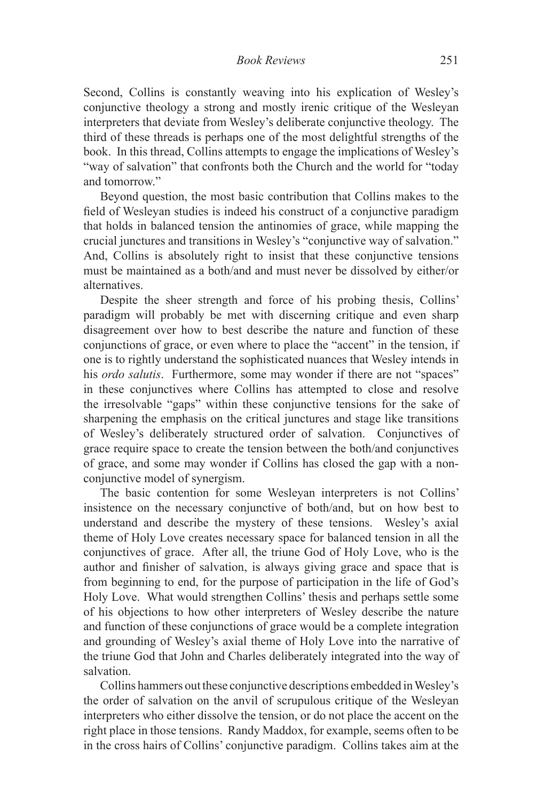Second, Collins is constantly weaving into his explication of Wesley's conjunctive theology a strong and mostly irenic critique of the Wesleyan interpreters that deviate from Wesley's deliberate conjunctive theology. The third of these threads is perhaps one of the most delightful strengths of the book. In this thread, Collins attempts to engage the implications of Wesley's "way of salvation" that confronts both the Church and the world for "today and tomorrow."

Beyond question, the most basic contribution that Collins makes to the field of Wesleyan studies is indeed his construct of a conjunctive paradigm that holds in balanced tension the antinomies of grace, while mapping the crucial junctures and transitions in Wesley's "conjunctive way of salvation." And, Collins is absolutely right to insist that these conjunctive tensions must be maintained as a both/and and must never be dissolved by either/or alternatives.

Despite the sheer strength and force of his probing thesis, Collins' paradigm will probably be met with discerning critique and even sharp disagreement over how to best describe the nature and function of these conjunctions of grace, or even where to place the "accent" in the tension, if one is to rightly understand the sophisticated nuances that Wesley intends in his *ordo salutis*. Furthermore, some may wonder if there are not "spaces" in these conjunctives where Collins has attempted to close and resolve the irresolvable "gaps" within these conjunctive tensions for the sake of sharpening the emphasis on the critical junctures and stage like transitions of Wesley's deliberately structured order of salvation. Conjunctives of grace require space to create the tension between the both/and conjunctives of grace, and some may wonder if Collins has closed the gap with a nonconjunctive model of synergism.

The basic contention for some Wesleyan interpreters is not Collins' insistence on the necessary conjunctive of both/and, but on how best to understand and describe the mystery of these tensions. Wesley's axial theme of Holy Love creates necessary space for balanced tension in all the conjunctives of grace. After all, the triune God of Holy Love, who is the author and finisher of salvation, is always giving grace and space that is from beginning to end, for the purpose of participation in the life of God's Holy Love. What would strengthen Collins' thesis and perhaps settle some of his objections to how other interpreters of Wesley describe the nature and function of these conjunctions of grace would be a complete integration and grounding of Wesley's axial theme of Holy Love into the narrative of the triune God that John and Charles deliberately integrated into the way of salvation.

Collins hammers out these conjunctive descriptions embedded in Wesley's the order of salvation on the anvil of scrupulous critique of the Wesleyan interpreters who either dissolve the tension, or do not place the accent on the right place in those tensions. Randy Maddox, for example, seems often to be in the cross hairs of Collins' conjunctive paradigm. Collins takes aim at the